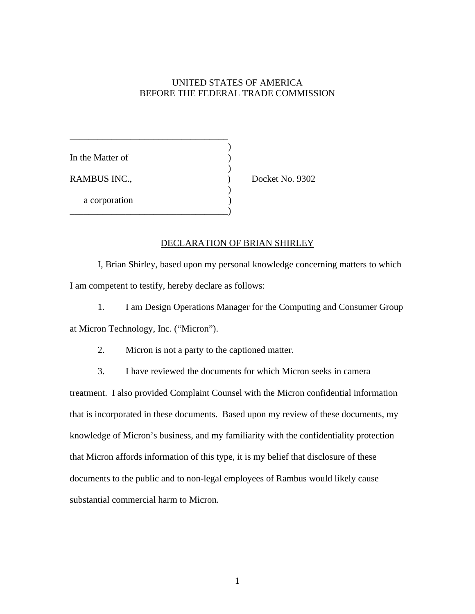## UNITED STATES OF AMERICA BEFORE THE FEDERAL TRADE COMMISSION

\_\_\_\_\_\_\_\_\_\_\_\_\_\_\_\_\_\_\_\_\_\_\_\_\_\_\_\_\_\_\_\_\_\_  $\overline{\phantom{a}}$ In the Matter of  $\qquad \qquad$  )  $)$ RAMBUS INC., Docket No. 9302  $)$ a corporation \_\_\_\_\_\_\_\_\_\_\_\_\_\_\_\_\_\_\_\_\_\_\_\_\_\_\_\_\_\_\_\_\_\_)

## DECLARATION OF BRIAN SHIRLEY

I, Brian Shirley, based upon my personal knowledge concerning matters to which I am competent to testify, hereby declare as follows:

1. I am Design Operations Manager for the Computing and Consumer Group at Micron Technology, Inc. ("Micron").

2. Micron is not a party to the captioned matter.

3. I have reviewed the documents for which Micron seeks in camera

treatment. I also provided Complaint Counsel with the Micron confidential information that is incorporated in these documents. Based upon my review of these documents, my knowledge of Micron's business, and my familiarity with the confidentiality protection that Micron affords information of this type, it is my belief that disclosure of these documents to the public and to non-legal employees of Rambus would likely cause substantial commercial harm to Micron.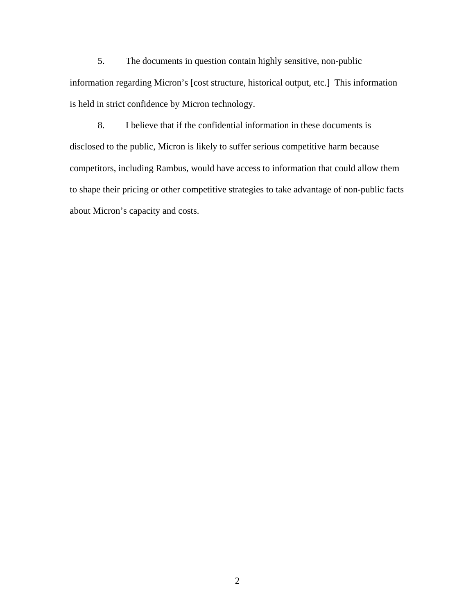5. The documents in question contain highly sensitive, non-public information regarding Micron's [cost structure, historical output, etc.] This information is held in strict confidence by Micron technology.

8. I believe that if the confidential information in these documents is disclosed to the public, Micron is likely to suffer serious competitive harm because competitors, including Rambus, would have access to information that could allow them to shape their pricing or other competitive strategies to take advantage of non-public facts about Micron's capacity and costs.